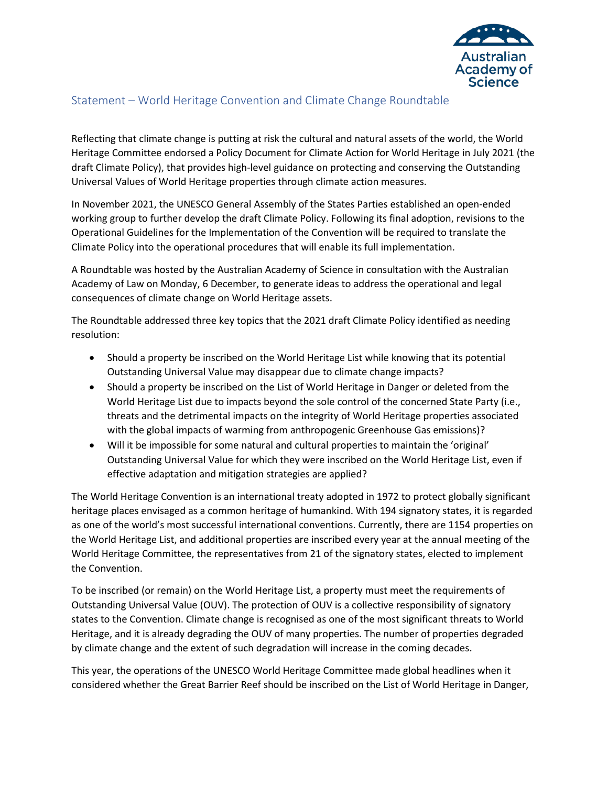

# Statement – World Heritage Convention and Climate Change Roundtable

Reflecting that climate change is putting at risk the cultural and natural assets of the world, the World Heritage Committee endorsed a Policy Document for Climate Action for World Heritage in July 2021 (the draft Climate Policy), that provides high-level guidance on protecting and conserving the Outstanding Universal Values of World Heritage properties through climate action measures.

In November 2021, the UNESCO General Assembly of the States Parties established an open-ended working group to further develop the draft Climate Policy. Following its final adoption, revisions to the Operational Guidelines for the Implementation of the Convention will be required to translate the Climate Policy into the operational procedures that will enable its full implementation.

A Roundtable was hosted by the Australian Academy of Science in consultation with the Australian Academy of Law on Monday, 6 December, to generate ideas to address the operational and legal consequences of climate change on World Heritage assets.

The Roundtable addressed three key topics that the 2021 draft Climate Policy identified as needing resolution:

- Should a property be inscribed on the World Heritage List while knowing that its potential Outstanding Universal Value may disappear due to climate change impacts?
- Should a property be inscribed on the List of World Heritage in Danger or deleted from the World Heritage List due to impacts beyond the sole control of the concerned State Party (i.e., threats and the detrimental impacts on the integrity of World Heritage properties associated with the global impacts of warming from anthropogenic Greenhouse Gas emissions)?
- Will it be impossible for some natural and cultural properties to maintain the 'original' Outstanding Universal Value for which they were inscribed on the World Heritage List, even if effective adaptation and mitigation strategies are applied?

The World Heritage Convention is an international treaty adopted in 1972 to protect globally significant heritage places envisaged as a common heritage of humankind. With 194 signatory states, it is regarded as one of the world's most successful international conventions. Currently, there are 1154 properties on the World Heritage List, and additional properties are inscribed every year at the annual meeting of the World Heritage Committee, the representatives from 21 of the signatory states, elected to implement the Convention.

To be inscribed (or remain) on the World Heritage List, a property must meet the requirements of Outstanding Universal Value (OUV). The protection of OUV is a collective responsibility of signatory states to the Convention. Climate change is recognised as one of the most significant threats to World Heritage, and it is already degrading the OUV of many properties. The number of properties degraded by climate change and the extent of such degradation will increase in the coming decades.

This year, the operations of the UNESCO World Heritage Committee made global headlines when it considered whether the Great Barrier Reef should be inscribed on the List of World Heritage in Danger,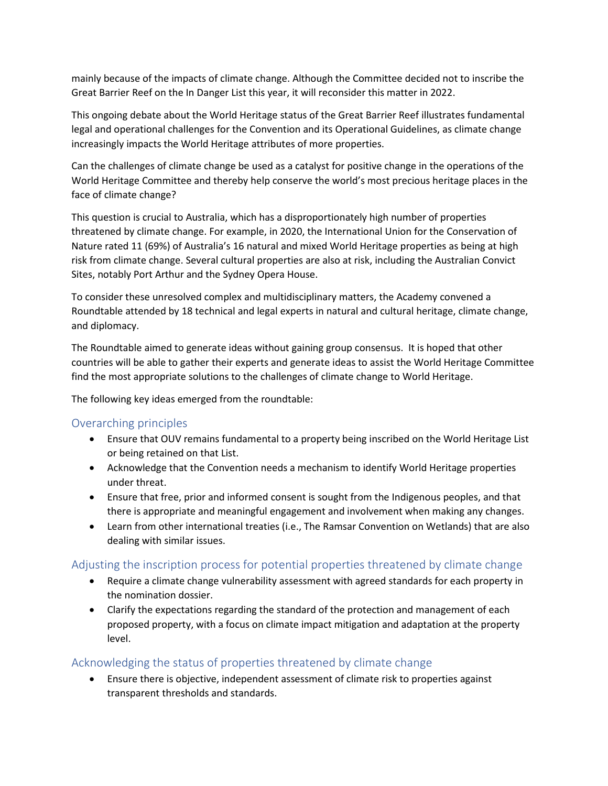mainly because of the impacts of climate change. Although the Committee decided not to inscribe the Great Barrier Reef on the In Danger List this year, it will reconsider this matter in 2022.

This ongoing debate about the World Heritage status of the Great Barrier Reef illustrates fundamental legal and operational challenges for the Convention and its Operational Guidelines, as climate change increasingly impacts the World Heritage attributes of more properties.

Can the challenges of climate change be used as a catalyst for positive change in the operations of the World Heritage Committee and thereby help conserve the world's most precious heritage places in the face of climate change?

This question is crucial to Australia, which has a disproportionately high number of properties threatened by climate change. For example, in 2020, the International Union for the Conservation of Nature rated 11 (69%) of Australia's 16 natural and mixed World Heritage properties as being at high risk from climate change. Several cultural properties are also at risk, including the Australian Convict Sites, notably Port Arthur and the Sydney Opera House.

To consider these unresolved complex and multidisciplinary matters, the Academy convened a Roundtable attended by 18 technical and legal experts in natural and cultural heritage, climate change, and diplomacy.

The Roundtable aimed to generate ideas without gaining group consensus. It is hoped that other countries will be able to gather their experts and generate ideas to assist the World Heritage Committee find the most appropriate solutions to the challenges of climate change to World Heritage.

The following key ideas emerged from the roundtable:

### Overarching principles

- Ensure that OUV remains fundamental to a property being inscribed on the World Heritage List or being retained on that List.
- Acknowledge that the Convention needs a mechanism to identify World Heritage properties under threat.
- Ensure that free, prior and informed consent is sought from the Indigenous peoples, and that there is appropriate and meaningful engagement and involvement when making any changes.
- Learn from other international treaties (i.e., The Ramsar Convention on Wetlands) that are also dealing with similar issues.

### Adjusting the inscription process for potential properties threatened by climate change

- Require a climate change vulnerability assessment with agreed standards for each property in the nomination dossier.
- Clarify the expectations regarding the standard of the protection and management of each proposed property, with a focus on climate impact mitigation and adaptation at the property level.

### Acknowledging the status of properties threatened by climate change

• Ensure there is objective, independent assessment of climate risk to properties against transparent thresholds and standards.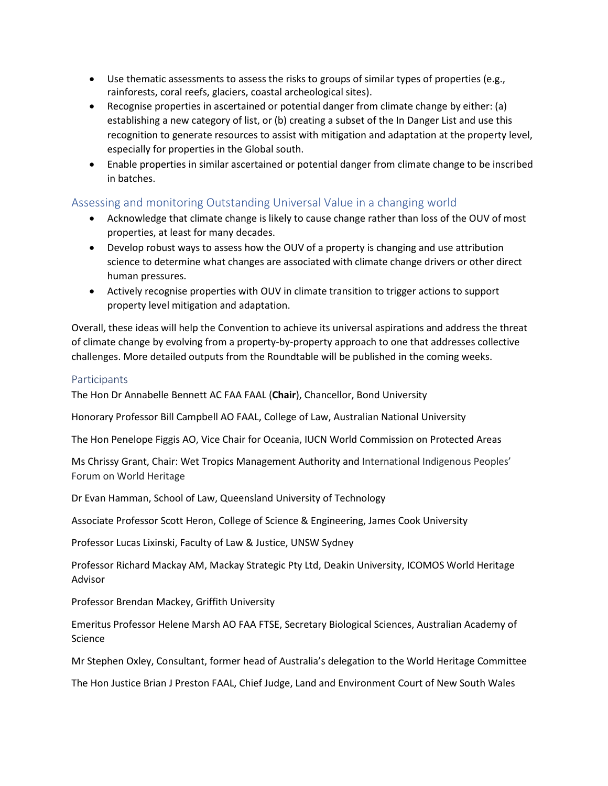- Use thematic assessments to assess the risks to groups of similar types of properties (e.g., rainforests, coral reefs, glaciers, coastal archeological sites).
- Recognise properties in ascertained or potential danger from climate change by either: (a) establishing a new category of list, or (b) creating a subset of the In Danger List and use this recognition to generate resources to assist with mitigation and adaptation at the property level, especially for properties in the Global south.
- Enable properties in similar ascertained or potential danger from climate change to be inscribed in batches.

## Assessing and monitoring Outstanding Universal Value in a changing world

- Acknowledge that climate change is likely to cause change rather than loss of the OUV of most properties, at least for many decades.
- Develop robust ways to assess how the OUV of a property is changing and use attribution science to determine what changes are associated with climate change drivers or other direct human pressures.
- Actively recognise properties with OUV in climate transition to trigger actions to support property level mitigation and adaptation.

Overall, these ideas will help the Convention to achieve its universal aspirations and address the threat of climate change by evolving from a property-by-property approach to one that addresses collective challenges. More detailed outputs from the Roundtable will be published in the coming weeks.

#### Participants

The Hon Dr Annabelle Bennett AC FAA FAAL (**Chair**), Chancellor, Bond University

Honorary Professor Bill Campbell AO FAAL, College of Law, Australian National University

The Hon Penelope Figgis AO, Vice Chair for Oceania, IUCN World Commission on Protected Areas

Ms Chrissy Grant, Chair: Wet Tropics Management Authority and International Indigenous Peoples' Forum on World Heritage

Dr Evan Hamman, School of Law, Queensland University of Technology

Associate Professor Scott Heron, College of Science & Engineering, James Cook University

Professor Lucas Lixinski, Faculty of Law & Justice, UNSW Sydney

Professor Richard Mackay AM, Mackay Strategic Pty Ltd, Deakin University, ICOMOS World Heritage Advisor

Professor Brendan Mackey, Griffith University

Emeritus Professor Helene Marsh AO FAA FTSE, Secretary Biological Sciences, Australian Academy of Science

Mr Stephen Oxley, Consultant, former head of Australia's delegation to the World Heritage Committee

The Hon Justice Brian J Preston FAAL, Chief Judge, Land and Environment Court of New South Wales